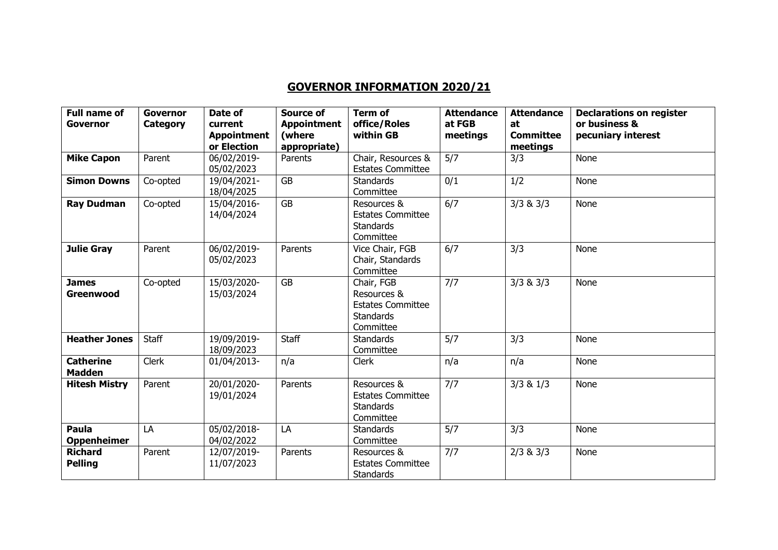## **GOVERNOR INFORMATION 2020/21**

| <b>Full name of</b><br><b>Governor</b> | <b>Governor</b><br>Category | Date of<br>current | <b>Source of</b><br><b>Appointment</b> | <b>Term of</b><br>office/Roles               | <b>Attendance</b><br>at FGB | <b>Attendance</b><br>at | <b>Declarations on register</b><br>or business & |
|----------------------------------------|-----------------------------|--------------------|----------------------------------------|----------------------------------------------|-----------------------------|-------------------------|--------------------------------------------------|
|                                        |                             | <b>Appointment</b> | (where                                 | within GB                                    | meetings                    | <b>Committee</b>        | pecuniary interest                               |
|                                        |                             | or Election        | appropriate)                           |                                              |                             | meetings                |                                                  |
| <b>Mike Capon</b>                      | Parent                      | 06/02/2019-        | Parents                                | Chair, Resources &                           | 5/7                         | 3/3                     | None                                             |
|                                        |                             | 05/02/2023         |                                        | <b>Estates Committee</b>                     |                             |                         |                                                  |
| <b>Simon Downs</b>                     | Co-opted                    | 19/04/2021-        | <b>GB</b>                              | <b>Standards</b>                             | 0/1                         | 1/2                     | None                                             |
|                                        |                             | 18/04/2025         |                                        | Committee                                    |                             |                         |                                                  |
| <b>Ray Dudman</b>                      | Co-opted                    | 15/04/2016-        | <b>GB</b>                              | Resources &                                  | 6/7                         | $3/3$ & $3/3$           | None                                             |
|                                        |                             | 14/04/2024         |                                        | <b>Estates Committee</b>                     |                             |                         |                                                  |
|                                        |                             |                    |                                        | <b>Standards</b>                             |                             |                         |                                                  |
|                                        |                             |                    |                                        | Committee                                    |                             |                         |                                                  |
| <b>Julie Gray</b>                      | Parent                      | 06/02/2019-        | Parents                                | Vice Chair, FGB                              | 6/7                         | 3/3                     | None                                             |
|                                        |                             | 05/02/2023         |                                        | Chair, Standards                             |                             |                         |                                                  |
|                                        |                             |                    |                                        | Committee                                    |                             |                         |                                                  |
| <b>James</b>                           | Co-opted                    | 15/03/2020-        | <b>GB</b>                              | Chair, FGB                                   | 7/7                         | $3/3$ & $3/3$           | None                                             |
| Greenwood                              |                             | 15/03/2024         |                                        | Resources &                                  |                             |                         |                                                  |
|                                        |                             |                    |                                        | <b>Estates Committee</b><br><b>Standards</b> |                             |                         |                                                  |
|                                        |                             |                    |                                        | Committee                                    |                             |                         |                                                  |
| <b>Heather Jones</b>                   | Staff                       | 19/09/2019-        | Staff                                  | <b>Standards</b>                             | 5/7                         | 3/3                     | None                                             |
|                                        |                             | 18/09/2023         |                                        | Committee                                    |                             |                         |                                                  |
| <b>Catherine</b>                       | <b>Clerk</b>                | 01/04/2013-        | n/a                                    | Clerk                                        | n/a                         | n/a                     | None                                             |
| <b>Madden</b>                          |                             |                    |                                        |                                              |                             |                         |                                                  |
| <b>Hitesh Mistry</b>                   | Parent                      | 20/01/2020-        | Parents                                | Resources &                                  | 7/7                         | $3/3$ & $1/3$           | None                                             |
|                                        |                             | 19/01/2024         |                                        | <b>Estates Committee</b>                     |                             |                         |                                                  |
|                                        |                             |                    |                                        | <b>Standards</b>                             |                             |                         |                                                  |
|                                        |                             |                    |                                        | Committee                                    |                             |                         |                                                  |
| Paula                                  | LA                          | 05/02/2018-        | LA                                     | <b>Standards</b>                             | 5/7                         | 3/3                     | None                                             |
| <b>Oppenheimer</b>                     |                             | 04/02/2022         |                                        | Committee                                    |                             |                         |                                                  |
| <b>Richard</b>                         | Parent                      | 12/07/2019-        | Parents                                | Resources &                                  | 7/7                         | $2/3$ & $3/3$           | None                                             |
| <b>Pelling</b>                         |                             | 11/07/2023         |                                        | <b>Estates Committee</b>                     |                             |                         |                                                  |
|                                        |                             |                    |                                        | Standards                                    |                             |                         |                                                  |